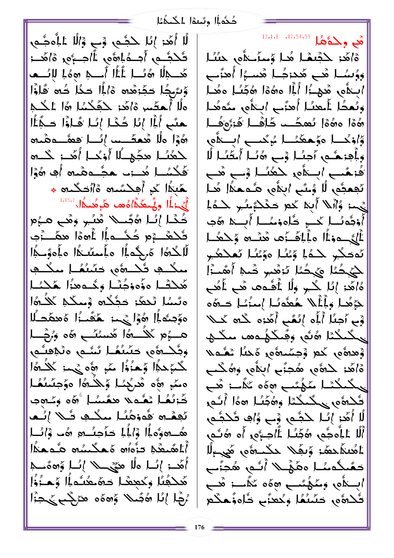حُدُّولًا وِيُبِهْلِ الْكُنْدُمُّا

لًا أُهَٰ: إِنَّا حَجَّـٰهِ ۖ وَبِ وَٱلَّا ۦَا۔أُوجَّـٰو ٖ تُكِبُّسِ أَجِسَهُ إِهْمٍ لِمَاجِسٍهِم وْاهْدِ: هَـــــــمِلْل هُ نُــــل ـلَّـلُّل أَـــــــمِ مِهْما للرُّـــــم وَّسَّجُل حَجَّوْهُ ۞ وَٱلْجَلَّا حَكَلَ حُرْهُ ۚ قَاوَّا ەلْل أھصّىب ۋاھَز حكِّكْسًا ھُل عَلَكْمِ هنّب أَبْلَا إِنّا خُخْا إِنّا قُـاةٌا حَـجَّنَّا هُوْا ولَا مُعصَّــب إنْـــا هِهْـــوهُــه لحَعُبُ محَجَّدٍ لَلا أُوْحُمِ أُمَّدٍ لَكُنَّهِ ْݣُكْسُــا هُـــزب هجَّــوهْـوه أَفِ هُوْا هَيْدًا ﴾ أَجْسَمُه وْأَتْحَكْمِهِ ﴾ أَيْهِ أَلَ وِيَمْعَكُمُ هُجَمَّ هُوهُما.  $\mathbb{E}$ . كُنْمَا إِنُمَا هُمُّمِي هُنُبِ وَهُبِ هِجُم ثَلِّكْتُ وَمِ تُكُّــولَمْ أَوْوَا مِكَـــزَب لَّاحُدُّا هُرِجُماً ما مِنْسَنَا ما مُؤَسَنًا سكــڢ تُكــوةُٯ حَنُنفُـا سكــڢ هُكْتُما هؤُهِوْجُنْما وِجْـهِمْزًا هَكْمًا ەئىسُا ئىكا خېڭلە ۋىمڭى كڭىۋا لِلْكَمَاءِ الْمَوْلَى مِنْ الْمَوْلَى الْمُحَمَّدُونَ وَالْمَسْتَوَاتِ هے م للاً ما هُسْنَے هُو وُرِجْے وِجُدِهُّو، حَنُنُعُـا نُنُـو، هنْدِهِ عَلَيْهِ لَكْتَبْكِلُوا وَهُوُوا مَيْنِ وَوَى يَهْدِ كَلْأَحَادَا ەمَّج ھۇە ھُرجُمُّا وَ لِلُّھُا ھۇجنىئ**ُم**َا خَزْنُعُـا مْعُـٰم لاهُمسُـا ۚ هُ٥ وَمُـهِ تُهِمْـه َ فُهوَهُنُـا مِكْـهِ كُـلا إنْـم هُـــهوَّه لَمَ أَوْلَٰٓ لَمْ الْمَرْحِبُــهِ ۚ هُـد وْٓ الْـــا أَمْصَعْهِ حَزْمَهُ هَهَكْسُدُ هُدَهَ أُهَٰد; إنَّها هلَّا هيَّيْهِ ﴾ إنَّها وَّدِهَ مِهِ هَٰكِفُلَ وَكَعِغْدَا حَرَّهُ حَثَمَا وَالْمَسْرَوْا رُجْمِ إِنَّا هُمُّما وَهِ هُ مِنْ الرُّبِيِّ إِلَىٰ

 $\sum_{13.1.8}$  .12.54.59  $\int_{0}^{2} \int_{0}^{2}$ وْٰٰٰٰٰٓٓٓٓہٗمَا دَجۡسَهُ ۖ اللّٰہِ مَعۡلَی کَمُنَا ۖ اللّٰہَ مِنَا کَمُنَا ۖ اللّٰہَ ووُبِسُا هُبِي هُدِرْجُا هُبِيرًا أُهزَّب ابِنكُم، مُدِجِّزًا أَبْلَ مِهْوَا هُجِّنُـا مِعُـا وِنُعجُل أَمعِنُـل أُهزَّىـ إبْلاُّي مِنْهِ هُـل الْحَمْرُوا مُهْدًى خَلَافًا غَرْوَوَهُا وَاوْكُمَا هَوُهِعَنُمَا يُرِيَّمَنِ الْمَنْهِينَ وِلَمِعْهُمِ آَجِئًا وَجِي هُنُا أَحْثَىٰا لَل ْهُمْسَى ابْتَدْهِ كَعُنُسًا وْسَى هُسَى تَجْعَجُمِ لَا وُسَّى ابْذُى حَـْجِعْدًا مُـا يُهِمز وُأَلَمْلاً أَبَدْ كُمْ دَخْلَةَ سُبِي لِحْدَةَ! |أُوْجُدنُـــا كَـــبِ خُادومُــَــا أُبـــٰه هَٰب أَلْيُهِ وَلَمْ وَلَمِلْهُ وَعَلَى هُنْسُو وَحَكْمًا } نُەخكْبِ حْـهُ! وَّنْنَا ەوَّنْنَا نُعْخَفُـبِ انْسِمْاً يَهْدُمْ تَزْمُدِ ذَمِيرٍ أَهُمْ أَمْسَنْوَا هُاهَٰ: إِنَّا كُبِ وَلَّا أَفْـوها هُبِ أَهُب حَرِّهُـا وِلْمَلْهُ هُعَدُهُـا إِمِيُّنُـا حَـهُ٥ وَّى أَجِبًا أَبَأَه إِنَّعَى أَهَّدَه كُلِّهِ كَمِلًا بهكْمه مەمەڭگە بۇ بۇ ئىڭىگىن أَوْهِدَهُ مِ كَمْ وَجِسْدَهُ مِ مَحْلًا مُعْمَلًا ةَاهَٰذِ لِمَدَّةٍ هُجِنَّى ابْلَاهِ، وَهُكْب بِكُمْنَاءَ مِنْهُمْ لِمُكْمَدٍ مِنْهُمْ الْمَكْمَدُنِ بَعَدْهُ إِهْمَا لَكُمْكُمْ وَهُكُمْ لَهُمْ مِنْهَمْ مَنْ الْمَسْمَعْ لًا أُهَٰ: إنُـا ـكثِّـم وْب وُاف قُـكثُـم ۖ أَلَّا £الْمَوْجُمِ رَمُكَنَّا ۖ يَأْ/جِيَّوِي أَو رَمُّ شُمِي لِمُسَلَّدِهُ: وَيَفِي حَكْسَةُ مِنْ هَيْ الْمَ حَمَّىكُومُا وَهُهُــلا أَنُــمٍ هُجزَّى ابنڈی ومکوُمّیے 500 ٹکھینے تھے تُكْلِّهُم حَتَّىنُمُا وِكُعْبَى خُاهوَّهكُمْ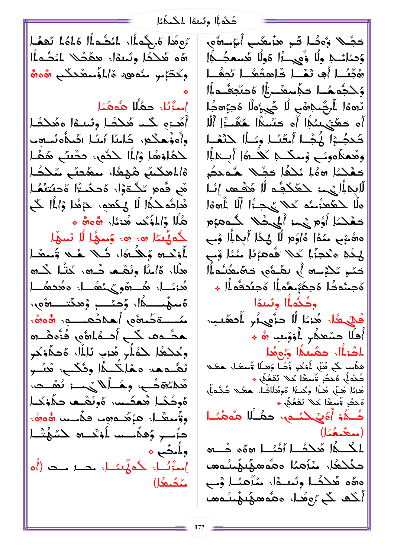حُدُّولًا وِيُبِهْلِ الْكُبِيُّامُ

رُوهُا هُرِجُومًا. الْحُدَالُ 1ْمَاهُا تَعفُّا حَجَّــلا وُوصُـل صَّـ مِنَعمَــهِ أَجَـــوهُ مِ هُه هُكِيْا وِيُبِيْهَا. هِهُجْلا لِمُحُمْلًا وَّجِئاسًـــمِ وَلَا وَّي أَلَّ دَولًا هَٰمِسْعِجُـــجُلِ هُجُنُــا أُڢ نْفْــا خْاهِجُعُــا نَجِعُــا وكْتْزَىرِ مُدْهِة دْالْمُوْمِعْتْكْمِ رَهْدَةْ وَّحْدُهُ هُــا حَجَّمحْــزاُلِ هَجِنَجَعْــويُلِ امِنَّىُّلْ: حمُّلًا هُومُبُّل لْجُمِّدَةَ الْمُجِّدَةَ لَّا خَيْجُواْلَا مُجِرِّمَةٍ اَلْهَ حَقَّيْ بِمُبْلًا أَو حَنَّسَتْهَا هَنَّكَ أَلَّٰهُ مَنَّ أَهْذِهِ لَكُتْ هَٰلِكُمَا وِتَسَدْاً هَهَٰلِكُمَا خَدجُــۃٖا ہُجۡـا آُمَثَـا وَـُـاْلِ حَنۡقَـا وأَوْذَهكُمْ: ۖ هَامِنُا أَمِنُا اضَلَّاهُ نُسْهَى وقَدْهَاهُوسُ وْسِكْبُ ݣْلْحَاهُ! أَبْتَدْبًا! ِلْحَمَّا, مَمَّا وَ*الْمَّا لَحْقُو، حضْنُ* هَٰصًا ا ة/اھگىنّ ھُھھُا. مەھّجىّ مُكحُـا حَفْحْمًا مَهْا مُحْفَلَ حَجَّــلا حَـُـمْحَجُّ لَّابِمْلَمَانِي مَسْتَمَدِّدَ مَسْتَمَارِينَ الْمَوْسَمِينَ مِنْ الْمَدِينَ هْمِ هُمِ رَحْكُـةوْلْ: هُحِكْتُوْلْ هُحِنَّتْنَاهُـلْ قْدَاهُكُمْ لَا لِيَكْعَمِ حَرْقُدَ وْلَمَا حَدَّ وَلَا حَمَّعَيْنِمُ مَحْلًا يَجْرَأُ أَلَّا غُرْهِ وَا حَمْدُمُ! أُوُم يْءَ أَلِيجُلا كَـ20\$م هُلَّا وْاْلِمُوْكُ هُدْئًا: 500 \* هِ مُثْنِي مَمْاً هُاوُمِ لَا لِمَحَا أَبَدَاً أَ فِ لَّكُمْ مَنَا (ه. (ه. وُسَهْا لَّا نَسْهَا ا لَمُوْكَّدَه وَجَلَاهُمَّا. ثَبْلا حُمَّلا وَّسْعَدَ لِحُمْ هِ ْحِبَّةٍ ۚ كَلا ۚ فَهِ هِءُنَا ۖ مُمُّا ۖ وَْبِ هْلًا، هَامْلُا وِنُهْمِهِ دْـهِ، كُتْبًا كْـهِ الْمِسْيَدِ مَحْبِّدِهِ ﴾ لكَمْدُو، حَبَّ مِحْدَدُهِ أَ هُنزَمُــا و هُـــوْهِ حَيْمُعُهَــا و هُجعهُــا هَجِسُوجُا هُجِعَّيُرِ هُولَما هُجِئِجُوهِ أَلْ ەْسۈسسىدا. ۆھئىسى ۋەدكتىسەۋە. وحُدُّه أُل ويُبِدْلُ فَطِيْهِمَا. هُزِمًا لَمَّا حِزَّى الْمَوْسِكِ. شَــــة حُـدةُ ي أَـمـد دُهـــــــهِ . وهُ ه رُّه . هشُمعه كُلّ أَصْدُاهُ و فُزُوهُـــه أُهْلًا حِنْعَدُمٍ أَوْوُسِهِ ۞ ﴾ لمشرباًا، حمَّىباًا وَرَهِمَا وِكْنْكُمْ نْݣَالُمْ هُٰٓنِي نَالْمَاا. هُحَكَّوْكُمْ فكَاسٍ لَكَ قُنَّىٰ أَوْجُرٍ وَّكُلَّا وَجَالًا وَّسَعْدًا، حَقَّلَا نْݣُــهم، همْلْكُــدّْا وثَكّــب، هْنُـــو حُدُّه أَى مَحْضَرِ وَمَعْدَا كَلا نَقْفُكَى \* مُحدِّمَة مِنْ الْمَسْمَدِ الْمَسْدَةِ مُتَحَدِّدَةَ مِنْ الْمَسْدَدَةَ مِنْ هُذِبُا هُنَّى هُـٰٓ: وِحُــٰٓ: هَوهَٰكَلَاتَـٰا مِعَكَـلا حُـحُـٰمَـلِّي ەُوكْخَا ھُھكَــٰىب، ەُولُكْــٰھ ھـكَاوْكْــا ەْجمْر قْمھْل كَلا تْقْفُكْل مْ صَّكَاهِ أَهْيَى حَمَـٰلًا هُهمَّنَـٰا وَقُصِعْداً، هَزَهُدوهِ مَدَّسِينٍ وُوَهُ، دَّســر وِّهمَّـــــــــ أَوْكَــــــره ــكمَّهُتْـــا (معكّمهُمْ) لمكْــدًا هَٰـحَـدًــا أَحُـُــا 300 هُــــــو وأمصٌ \* حدُكْهَا، مْنَرْهِمْا ەھُەھمْنِهْتُدْهَا إمتُرْكَانَ حُكُومًا مَنْكَانَ مَصَارَ مِنْكَ (أُهِ ەھّە ھُكْشًا وِئْسَةًا، مْلَاْھْسًا وْس مَدَّمُعُل) أَكْفَ كُمْ رُوهُماْ، وهُوههُنهُنهُوهما